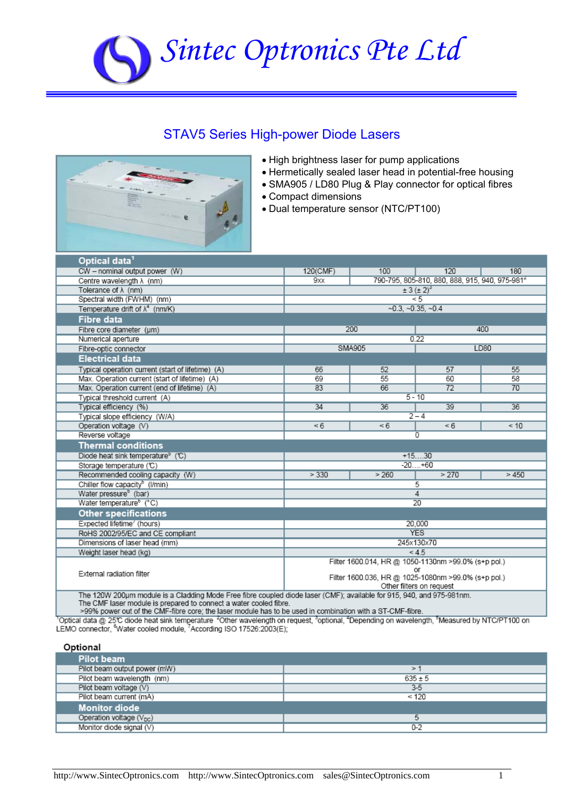# *Sintec Optronics Pte Ltd*

### STAV5 Series High-power Diode Lasers



- High brightness laser for pump applications
- Hermetically sealed laser head in potential-free housing
- SMA905 / LD80 Plug & Play connector for optical fibres
- Compact dimensions
- Dual temperature sensor (NTC/PT100)

| Optical data <sup>1</sup>                                                                                                                                                                  |                                                           |                                                            |                     |      |  |
|--------------------------------------------------------------------------------------------------------------------------------------------------------------------------------------------|-----------------------------------------------------------|------------------------------------------------------------|---------------------|------|--|
| CW - nominal output power (W)                                                                                                                                                              | 120(CMF)                                                  | 120<br>180<br>100                                          |                     |      |  |
| Centre wavelength $\lambda$ (nm)                                                                                                                                                           | 9xx                                                       | 790-795, 805-810, 880, 888, 915, 940, 975-981 <sup>2</sup> |                     |      |  |
| Tolerance of $\lambda$ (nm)                                                                                                                                                                | $\pm 3 (\pm 2)^3$                                         |                                                            |                     |      |  |
| Spectral width (FWHM) (nm)                                                                                                                                                                 |                                                           |                                                            | $\leq 5$            |      |  |
| Temperature drift of $\lambda^4$ (nm/K)                                                                                                                                                    |                                                           |                                                            | $-0.3, -0.35, -0.4$ |      |  |
| Fibre data                                                                                                                                                                                 |                                                           |                                                            |                     |      |  |
| Fibre core diameter (um)                                                                                                                                                                   |                                                           | 200                                                        |                     | 400  |  |
| Numerical aperture                                                                                                                                                                         |                                                           |                                                            | 0.22                |      |  |
| Fibre-optic connector                                                                                                                                                                      |                                                           | SMA905                                                     | LD80                |      |  |
| <b>Electrical data</b>                                                                                                                                                                     |                                                           |                                                            |                     |      |  |
| Typical operation current (start of lifetime) (A)                                                                                                                                          | 66                                                        | 52                                                         | 57                  | 55   |  |
| Max. Operation current (start of lifetime) (A)                                                                                                                                             | 69                                                        | 55                                                         | 60                  | 58   |  |
| Max. Operation current (end of lifetime) (A)                                                                                                                                               | 83                                                        | 66                                                         | 72                  | 70   |  |
| Typical threshold current (A)                                                                                                                                                              |                                                           |                                                            | $5 - 10$            |      |  |
| Typical efficiency (%)                                                                                                                                                                     | 34                                                        | 36                                                         | 39                  | 36   |  |
| Typical slope efficiency (W/A)                                                                                                                                                             |                                                           |                                                            | $2 - 4$             |      |  |
| Operation voltage (V)                                                                                                                                                                      | < 6                                                       | < 6                                                        | <6                  | < 10 |  |
| Reverse voltage                                                                                                                                                                            | 0                                                         |                                                            |                     |      |  |
| <b>Thermal conditions</b>                                                                                                                                                                  |                                                           |                                                            |                     |      |  |
| Diode heat sink temperature <sup>5</sup> (C)                                                                                                                                               |                                                           |                                                            | $+1530$             |      |  |
| Storage temperature (°C)                                                                                                                                                                   | $-20+60$                                                  |                                                            |                     |      |  |
| Recommended cooling capacity (W)                                                                                                                                                           | > 330                                                     | > 260                                                      | > 270               | >450 |  |
| Chiller flow capacity <sup>b</sup> (I/min)                                                                                                                                                 |                                                           |                                                            | 5                   |      |  |
| Water pressure <sup>6</sup> (bar)                                                                                                                                                          |                                                           | 4                                                          |                     |      |  |
| Water temperature <sup>6</sup> (°C)                                                                                                                                                        | $\overline{20}$                                           |                                                            |                     |      |  |
| <b>Other specifications</b>                                                                                                                                                                |                                                           |                                                            |                     |      |  |
| Expected lifetime' (hours)                                                                                                                                                                 | 20,000                                                    |                                                            |                     |      |  |
| RoHS 2002/95/EC and CE compliant                                                                                                                                                           | <b>YES</b>                                                |                                                            |                     |      |  |
| Dimensions of laser head (mm)                                                                                                                                                              | 245x130x70                                                |                                                            |                     |      |  |
| Weight laser head (kg)                                                                                                                                                                     |                                                           | < 4.5                                                      |                     |      |  |
|                                                                                                                                                                                            | Filter 1600.014, HR @ 1050-1130nm >99.0% (s+p pol.)       |                                                            |                     |      |  |
| External radiation filter                                                                                                                                                                  | or<br>Filter 1600.036, HR @ 1025-1080nm >99.0% (s+p pol.) |                                                            |                     |      |  |
|                                                                                                                                                                                            | Other filters on request                                  |                                                            |                     |      |  |
| The 120W 200um module is a Cladding Mode Free fibre coupled diode laser (CMF); available for 915, 940, and 975-981nm.<br>The CMF laser module is prepared to connect a water cooled fibre. |                                                           |                                                            |                     |      |  |

the core; the laser module has to be used in combination with a ST-CMF-fibre.<br>Optical data @ 25℃ diode heat sink temperature <sup>2</sup>Other wavelength on request, <sup>3</sup>optional, <sup>4</sup>Depending on wavelength, <sup>5</sup>Measured by NTC/PT10 LEMO connector, <sup>6</sup>Water cooled module, <sup>7</sup>According ISO 17526:2003(E);

| τια | ı<br>. . |
|-----|----------|
|     |          |

| Pilot beam                   |             |
|------------------------------|-------------|
| Pilot beam output power (mW) | ⋗           |
| Pilot beam wavelength (nm)   | $635 \pm 5$ |
| Pilot beam voltage (V)       | $3-5$       |
| Pilot beam current (mA)      | < 120       |
| <b>Monitor diode</b>         |             |
| Operation voltage $(V_{DC})$ |             |
| Monitor diode signal (V)     | $0 - 2$     |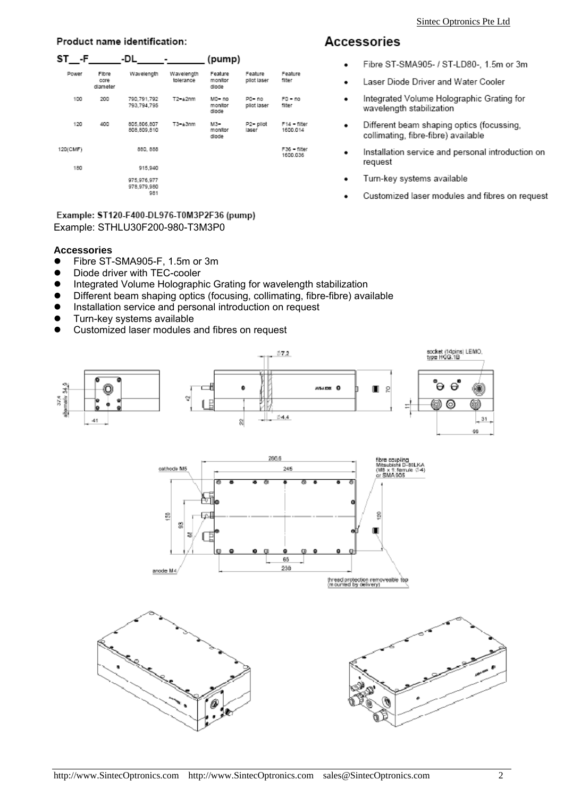#### Product name identification:

| ST - F   |                           | -DL                               |                         | (pump)                      |                          |                          |
|----------|---------------------------|-----------------------------------|-------------------------|-----------------------------|--------------------------|--------------------------|
| Power    | Fibre<br>core<br>dlameter | Wavelength                        | Wavelength<br>tolerance | Feature<br>monitor<br>dlode | Feature<br>pliot laser   | Feature<br><b>filter</b> |
| 100      | 200                       | 790,791,792<br>793,794,795        | $T2 - \pm 2nm$          | MO-no<br>monitor<br>dlode   | $PO - no$<br>pliot laser | $F0 - no$<br>filter      |
| 120      | 400                       | 805.806.807<br>808,809,810        | $T3 - \pm 3$ nm         | M3-<br>monitor<br>dlode     | P2= pliot<br>laser       | F14 - filter<br>1600.014 |
| 120(CMF) |                           | 880, 888                          |                         |                             |                          | F36 - filter<br>1600.036 |
| 180      |                           | 915.940                           |                         |                             |                          |                          |
|          |                           | 975.976.977<br>978.979.980<br>981 |                         |                             |                          |                          |

Example: ST120-F400-DL976-T0M3P2F36 (pump) Example: STHLU30F200-980-T3M3P0

#### **Accessories**

- Fibre ST-SMA905-F, 1.5m or 3m
- Diode driver with TEC-cooler
- **•** Integrated Volume Holographic Grating for wavelength stabilization
- Different beam shaping optics (focusing, collimating, fibre-fibre) available
- $\bullet$  Installation service and personal introduction on request
- $\bullet$  Turn-key systems available
- Customized laser modules and fibres on request



## **Accessories**

- Fibre ST-SMA905- / ST-LD80-, 1.5m or 3m
- Laser Diode Driver and Water Cooler
- Integrated Volume Holographic Grating for wavelength stabilization
- Different beam shaping optics (focussing, collimating, fibre-fibre) available
- Installation service and personal introduction on request
- Turn-key systems available
- Customized laser modules and fibres on request